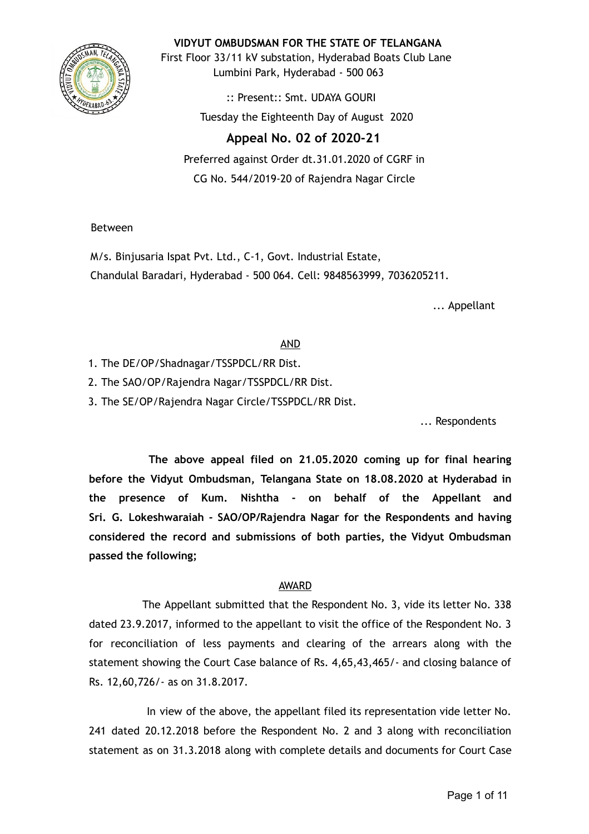

**VIDYUT OMBUDSMAN FOR THE STATE OF TELANGANA**

First Floor 33/11 kV substation, Hyderabad Boats Club Lane Lumbini Park, Hyderabad - 500 063

> :: Present:: Smt. UDAYA GOURI Tuesday the Eighteenth Day of August 2020

# **Appeal No. 02 of 2020-21**

Preferred against Order dt.31.01.2020 of CGRF in CG No. 544/2019-20 of Rajendra Nagar Circle

Between

M/s. Binjusaria Ispat Pvt. Ltd., C-1, Govt. Industrial Estate, Chandulal Baradari, Hyderabad - 500 064. Cell: 9848563999, 7036205211.

... Appellant

# AND

- 1. The DE/OP/Shadnagar/TSSPDCL/RR Dist.
- 2. The SAO/OP/Rajendra Nagar/TSSPDCL/RR Dist.
- 3. The SE/OP/Rajendra Nagar Circle/TSSPDCL/RR Dist.

... Respondents

**The above appeal filed on 21.05.2020 coming up for final hearing before the Vidyut Ombudsman, Telangana State on 18.08.2020 at Hyderabad in the presence of Kum. Nishtha - on behalf of the Appellant and Sri. G. Lokeshwaraiah - SAO/OP/Rajendra Nagar for the Respondents and having considered the record and submissions of both parties, the Vidyut Ombudsman passed the following;**

# AWARD

The Appellant submitted that the Respondent No. 3, vide its letter No. 338 dated 23.9.2017, informed to the appellant to visit the office of the Respondent No. 3 for reconciliation of less payments and clearing of the arrears along with the statement showing the Court Case balance of Rs. 4,65,43,465/- and closing balance of Rs. 12,60,726/- as on 31.8.2017.

In view of the above, the appellant filed its representation vide letter No. 241 dated 20.12.2018 before the Respondent No. 2 and 3 along with reconciliation statement as on 31.3.2018 along with complete details and documents for Court Case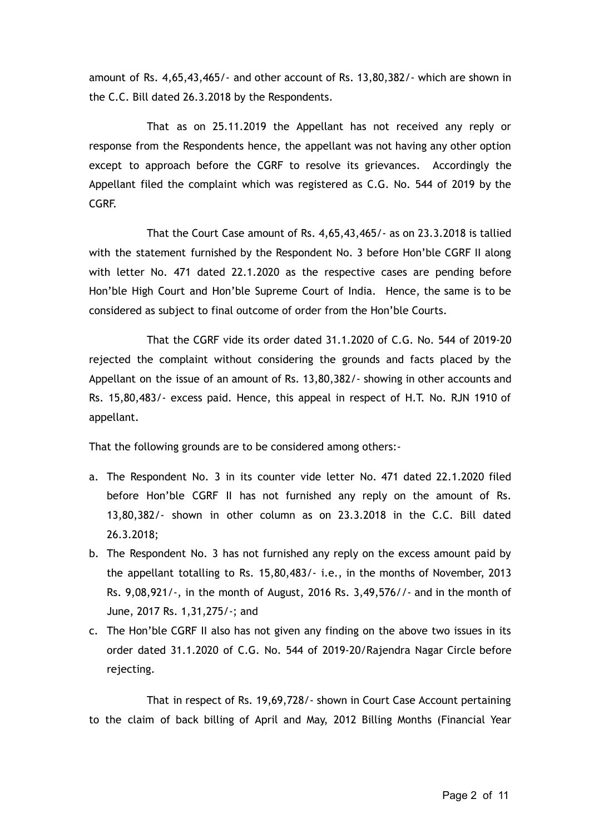amount of Rs. 4,65,43,465/- and other account of Rs. 13,80,382/- which are shown in the C.C. Bill dated 26.3.2018 by the Respondents.

That as on 25.11.2019 the Appellant has not received any reply or response from the Respondents hence, the appellant was not having any other option except to approach before the CGRF to resolve its grievances. Accordingly the Appellant filed the complaint which was registered as C.G. No. 544 of 2019 by the CGRF.

That the Court Case amount of Rs. 4,65,43,465/- as on 23.3.2018 is tallied with the statement furnished by the Respondent No. 3 before Hon'ble CGRF II along with letter No. 471 dated 22.1.2020 as the respective cases are pending before Hon'ble High Court and Hon'ble Supreme Court of India. Hence, the same is to be considered as subject to final outcome of order from the Hon'ble Courts.

That the CGRF vide its order dated 31.1.2020 of C.G. No. 544 of 2019-20 rejected the complaint without considering the grounds and facts placed by the Appellant on the issue of an amount of Rs. 13,80,382/- showing in other accounts and Rs. 15,80,483/- excess paid. Hence, this appeal in respect of H.T. No. RJN 1910 of appellant.

That the following grounds are to be considered among others:-

- a. The Respondent No. 3 in its counter vide letter No. 471 dated 22.1.2020 filed before Hon'ble CGRF II has not furnished any reply on the amount of Rs. 13,80,382/- shown in other column as on 23.3.2018 in the C.C. Bill dated 26.3.2018;
- b. The Respondent No. 3 has not furnished any reply on the excess amount paid by the appellant totalling to Rs. 15,80,483/- i.e., in the months of November, 2013 Rs. 9,08,921/-, in the month of August, 2016 Rs. 3,49,576//- and in the month of June, 2017 Rs. 1,31,275/-; and
- c. The Hon'ble CGRF II also has not given any finding on the above two issues in its order dated 31.1.2020 of C.G. No. 544 of 2019-20/Rajendra Nagar Circle before rejecting.

That in respect of Rs. 19,69,728/- shown in Court Case Account pertaining to the claim of back billing of April and May, 2012 Billing Months (Financial Year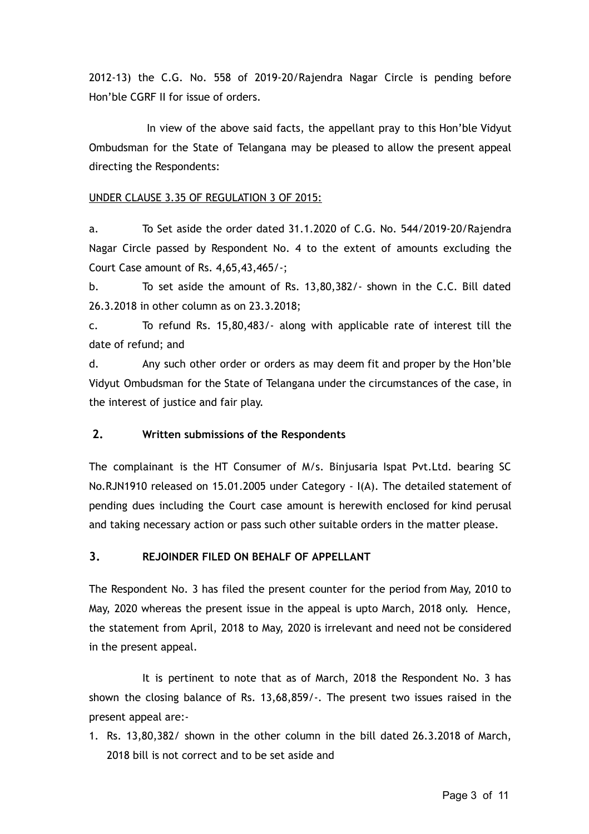2012-13) the C.G. No. 558 of 2019-20/Rajendra Nagar Circle is pending before Hon'ble CGRF II for issue of orders.

In view of the above said facts, the appellant pray to this Hon'ble Vidyut Ombudsman for the State of Telangana may be pleased to allow the present appeal directing the Respondents:

#### UNDER CLAUSE 3.35 OF REGULATION 3 OF 2015:

a. To Set aside the order dated 31.1.2020 of C.G. No. 544/2019-20/Rajendra Nagar Circle passed by Respondent No. 4 to the extent of amounts excluding the Court Case amount of Rs. 4,65,43,465/-;

b. To set aside the amount of Rs. 13,80,382/- shown in the C.C. Bill dated 26.3.2018 in other column as on 23.3.2018;

c. To refund Rs. 15,80,483/- along with applicable rate of interest till the date of refund; and

d. Any such other order or orders as may deem fit and proper by the Hon'ble Vidyut Ombudsman for the State of Telangana under the circumstances of the case, in the interest of justice and fair play.

## **2. Written submissions of the Respondents**

The complainant is the HT Consumer of M/s. Binjusaria Ispat Pvt.Ltd. bearing SC No.RJN1910 released on 15.01.2005 under Category - I(A). The detailed statement of pending dues including the Court case amount is herewith enclosed for kind perusal and taking necessary action or pass such other suitable orders in the matter please.

## **3. REJOINDER FILED ON BEHALF OF APPELLANT**

The Respondent No. 3 has filed the present counter for the period from May, 2010 to May, 2020 whereas the present issue in the appeal is upto March, 2018 only. Hence, the statement from April, 2018 to May, 2020 is irrelevant and need not be considered in the present appeal.

It is pertinent to note that as of March, 2018 the Respondent No. 3 has shown the closing balance of Rs. 13,68,859/-. The present two issues raised in the present appeal are:-

1. Rs. 13,80,382/ shown in the other column in the bill dated 26.3.2018 of March, 2018 bill is not correct and to be set aside and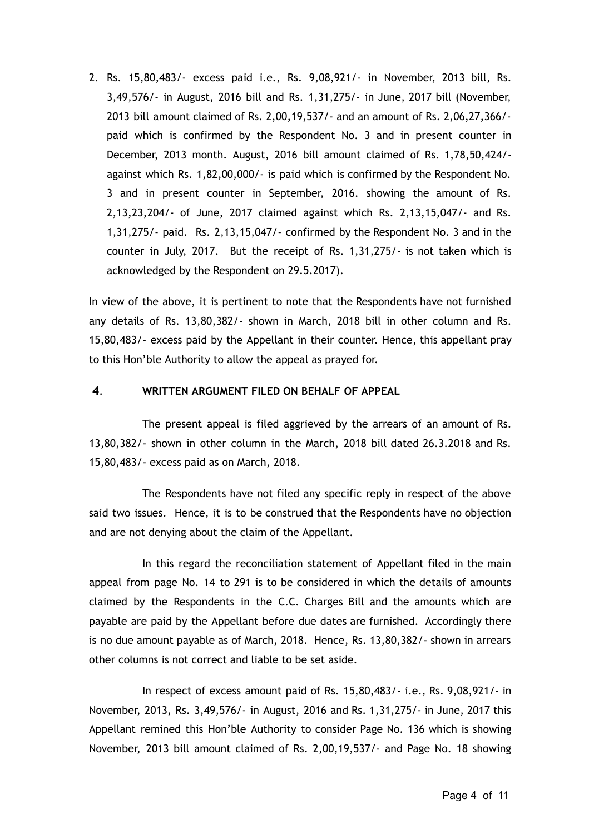2. Rs. 15,80,483/- excess paid i.e., Rs. 9,08,921/- in November, 2013 bill, Rs. 3,49,576/- in August, 2016 bill and Rs. 1,31,275/- in June, 2017 bill (November, 2013 bill amount claimed of Rs. 2,00,19,537/- and an amount of Rs. 2,06,27,366/ paid which is confirmed by the Respondent No. 3 and in present counter in December, 2013 month. August, 2016 bill amount claimed of Rs. 1,78,50,424/ against which Rs. 1,82,00,000/- is paid which is confirmed by the Respondent No. 3 and in present counter in September, 2016. showing the amount of Rs. 2,13,23,204/- of June, 2017 claimed against which Rs. 2,13,15,047/- and Rs. 1,31,275/- paid. Rs. 2,13,15,047/- confirmed by the Respondent No. 3 and in the counter in July, 2017. But the receipt of Rs. 1,31,275/- is not taken which is acknowledged by the Respondent on 29.5.2017).

In view of the above, it is pertinent to note that the Respondents have not furnished any details of Rs. 13,80,382/- shown in March, 2018 bill in other column and Rs. 15,80,483/- excess paid by the Appellant in their counter. Hence, this appellant pray to this Hon'ble Authority to allow the appeal as prayed for.

#### **4** . **WRITTEN ARGUMENT FILED ON BEHALF OF APPEAL**

The present appeal is filed aggrieved by the arrears of an amount of Rs. 13,80,382/- shown in other column in the March, 2018 bill dated 26.3.2018 and Rs. 15,80,483/- excess paid as on March, 2018.

The Respondents have not filed any specific reply in respect of the above said two issues. Hence, it is to be construed that the Respondents have no objection and are not denying about the claim of the Appellant.

In this regard the reconciliation statement of Appellant filed in the main appeal from page No. 14 to 291 is to be considered in which the details of amounts claimed by the Respondents in the C.C. Charges Bill and the amounts which are payable are paid by the Appellant before due dates are furnished. Accordingly there is no due amount payable as of March, 2018. Hence, Rs. 13,80,382/- shown in arrears other columns is not correct and liable to be set aside.

In respect of excess amount paid of Rs. 15,80,483/- i.e., Rs. 9,08,921/- in November, 2013, Rs. 3,49,576/- in August, 2016 and Rs. 1,31,275/- in June, 2017 this Appellant remined this Hon'ble Authority to consider Page No. 136 which is showing November, 2013 bill amount claimed of Rs. 2,00,19,537/- and Page No. 18 showing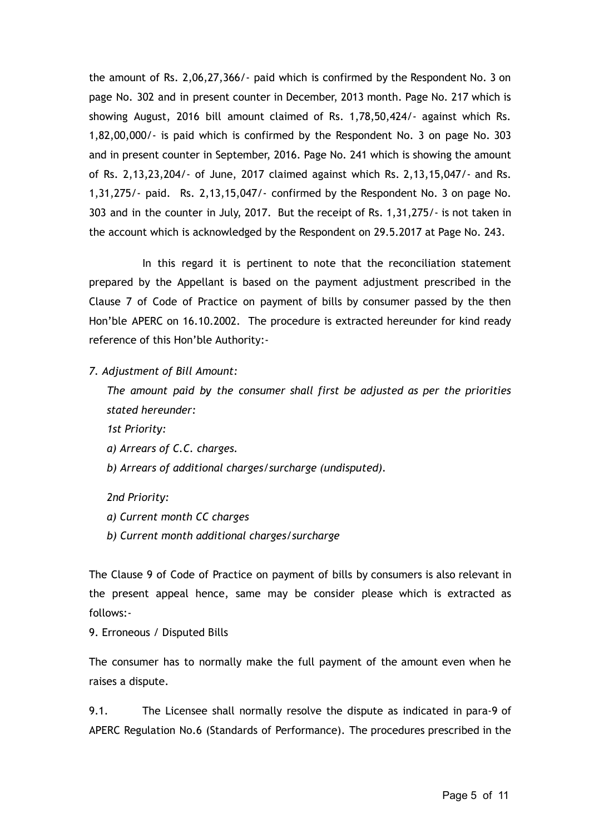the amount of Rs. 2,06,27,366/- paid which is confirmed by the Respondent No. 3 on page No. 302 and in present counter in December, 2013 month. Page No. 217 which is showing August, 2016 bill amount claimed of Rs. 1,78,50,424/- against which Rs. 1,82,00,000/- is paid which is confirmed by the Respondent No. 3 on page No. 303 and in present counter in September, 2016. Page No. 241 which is showing the amount of Rs. 2,13,23,204/- of June, 2017 claimed against which Rs. 2,13,15,047/- and Rs. 1,31,275/- paid. Rs. 2,13,15,047/- confirmed by the Respondent No. 3 on page No. 303 and in the counter in July, 2017. But the receipt of Rs. 1,31,275/- is not taken in the account which is acknowledged by the Respondent on 29.5.2017 at Page No. 243.

In this regard it is pertinent to note that the reconciliation statement prepared by the Appellant is based on the payment adjustment prescribed in the Clause 7 of Code of Practice on payment of bills by consumer passed by the then Hon'ble APERC on 16.10.2002. The procedure is extracted hereunder for kind ready reference of this Hon'ble Authority:-

*7. Adjustment of Bill Amount:*

*The amount paid by the consumer shall first be adjusted as per the priorities stated hereunder:*

*1st Priority:*

*a) Arrears of C.C. charges.*

*b) Arrears of additional charges/surcharge (undisputed).*

*2nd Priority:*

*a) Current month CC charges*

*b) Current month additional charges/surcharge* 

The Clause 9 of Code of Practice on payment of bills by consumers is also relevant in the present appeal hence, same may be consider please which is extracted as follows:-

9. Erroneous / Disputed Bills

The consumer has to normally make the full payment of the amount even when he raises a dispute.

9.1. The Licensee shall normally resolve the dispute as indicated in para-9 of APERC Regulation No.6 (Standards of Performance). The procedures prescribed in the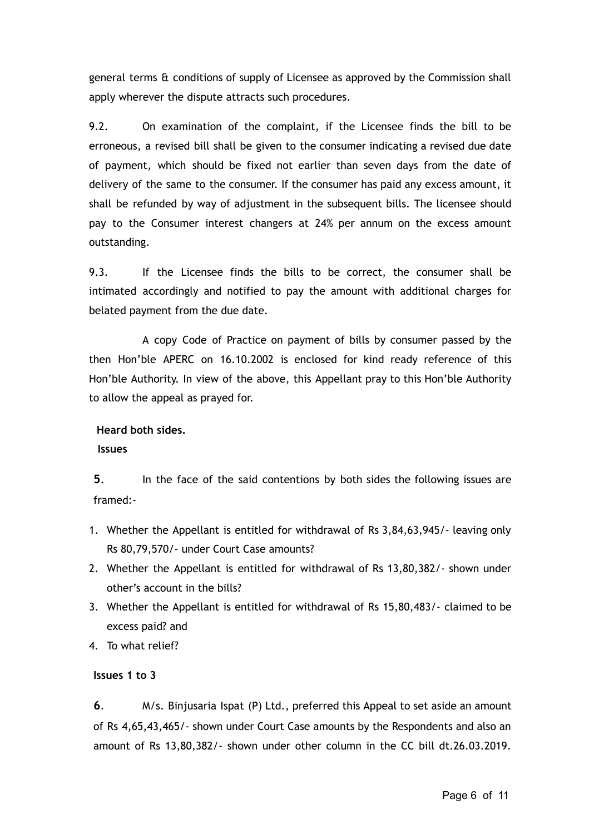general terms & conditions of supply of Licensee as approved by the Commission shall apply wherever the dispute attracts such procedures.

9.2. On examination of the complaint, if the Licensee finds the bill to be erroneous, a revised bill shall be given to the consumer indicating a revised due date of payment, which should be fixed not earlier than seven days from the date of delivery of the same to the consumer. If the consumer has paid any excess amount, it shall be refunded by way of adjustment in the subsequent bills. The licensee should pay to the Consumer interest changers at 24% per annum on the excess amount outstanding.

9.3. If the Licensee finds the bills to be correct, the consumer shall be intimated accordingly and notified to pay the amount with additional charges for belated payment from the due date.

A copy Code of Practice on payment of bills by consumer passed by the then Hon'ble APERC on 16.10.2002 is enclosed for kind ready reference of this Hon'ble Authority. In view of the above, this Appellant pray to this Hon'ble Authority to allow the appeal as prayed for.

## **Heard both sides.**

## **Issues**

**5** . In the face of the said contentions by both sides the following issues are framed:-

- 1. Whether the Appellant is entitled for withdrawal of Rs 3,84,63,945/- leaving only Rs 80,79,570/- under Court Case amounts?
- 2. Whether the Appellant is entitled for withdrawal of Rs 13,80,382/- shown under other's account in the bills?
- 3. Whether the Appellant is entitled for withdrawal of Rs 15,80,483/- claimed to be excess paid? and
- 4. To what relief?

## **Issues 1 to 3**

**6** . M/s. Binjusaria Ispat (P) Ltd., preferred this Appeal to set aside an amount of Rs 4,65,43,465/- shown under Court Case amounts by the Respondents and also an amount of Rs 13,80,382/- shown under other column in the CC bill dt.26.03.2019.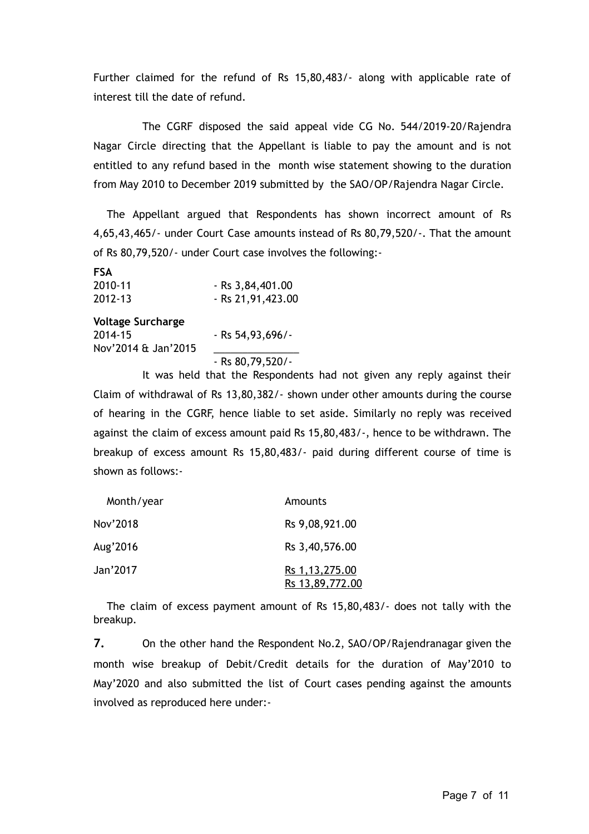Further claimed for the refund of Rs 15,80,483/- along with applicable rate of interest till the date of refund.

The CGRF disposed the said appeal vide CG No. 544/2019-20/Rajendra Nagar Circle directing that the Appellant is liable to pay the amount and is not entitled to any refund based in the month wise statement showing to the duration from May 2010 to December 2019 submitted by the SAO/OP/Rajendra Nagar Circle.

The Appellant argued that Respondents has shown incorrect amount of Rs 4,65,43,465/- under Court Case amounts instead of Rs 80,79,520/-. That the amount of Rs 80,79,520/- under Court case involves the following:-

| <b>FSA</b>  |                    |
|-------------|--------------------|
| 2010-11     | $-Rs$ 3,84,401.00  |
| $2012 - 13$ | $-Rs$ 21,91,423.00 |

#### **Voltage Surcharge**

| 2014-15             | $-$ Rs 54,93,696/ $-$ |
|---------------------|-----------------------|
| Nov'2014 & Jan'2015 |                       |
|                     | $-$ Rs 80,79,520/ $-$ |

It was held that the Respondents had not given any reply against their Claim of withdrawal of Rs 13,80,382/- shown under other amounts during the course of hearing in the CGRF, hence liable to set aside. Similarly no reply was received against the claim of excess amount paid Rs 15,80,483/-, hence to be withdrawn. The breakup of excess amount Rs 15,80,483/- paid during different course of time is shown as follows:-

| Month/year | Amounts                             |
|------------|-------------------------------------|
| Nov'2018   | Rs 9,08,921.00                      |
| Aug'2016   | Rs 3,40,576.00                      |
| Jan'2017   | Rs 1, 13, 275.00<br>Rs 13,89,772.00 |

The claim of excess payment amount of Rs 15,80,483/- does not tally with the breakup.

**7.** On the other hand the Respondent No.2, SAO/OP/Rajendranagar given the month wise breakup of Debit/Credit details for the duration of May'2010 to May'2020 and also submitted the list of Court cases pending against the amounts involved as reproduced here under:-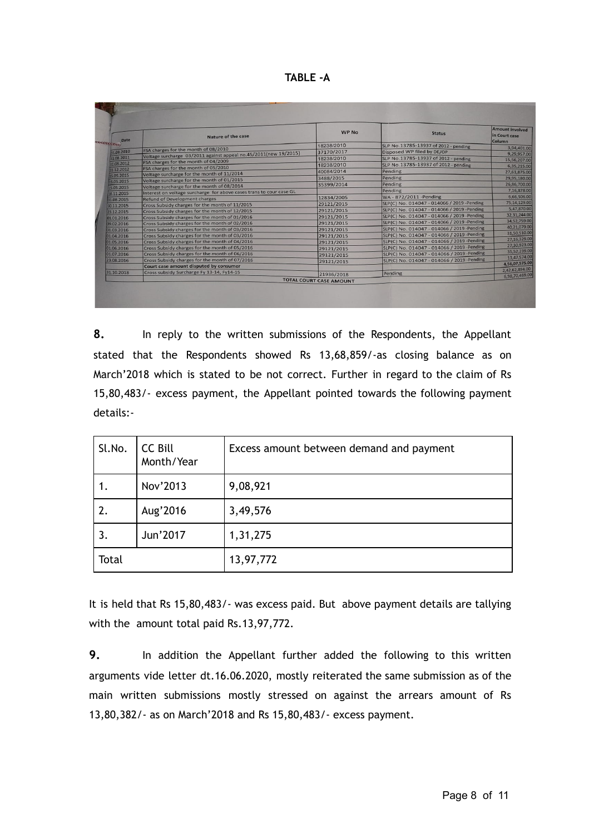| Date                     | Nature of the case                                                                                       | <b>WP No</b>                                 | <b>Status</b>                              | <b>Amount involved</b><br>in Court case<br>Column |
|--------------------------|----------------------------------------------------------------------------------------------------------|----------------------------------------------|--------------------------------------------|---------------------------------------------------|
| <b>CECCECECECE</b>       |                                                                                                          | 18238/2010                                   | SLP No.13785-13937 of 2012 - pending       | 3,94,401.00                                       |
| 31.08.2010               | FSA charges for the month of 08/2010<br>Voltage surcharge 03/2011 against appeal no.45/2011(new 19/2015) | 37170/2017                                   | Disposed WP filed by DE/OP                 | 9,29,957.00                                       |
| 31.08.2011               |                                                                                                          | 18238/2010                                   | SLP No.13785-13937 of 2012 - pending       | 15,56,207.00                                      |
| 31.08.2012               | FSA charges for the month of 04/2009                                                                     | 18238/2010                                   | SLP No.13785-13937 of 2012 - pending       | 6,35,215.00                                       |
| 31.12.2012               | FSA charges for the month of 05/2010                                                                     | 40084/2014                                   | Pending                                    | 27,61,875.00                                      |
| 15.05.2015               | Voltage surcharge for the month of 11/2014                                                               | 3488/2015                                    | Pending                                    | 29,95,180.00                                      |
| 15.05.2015               | Voltage surcharge for the month of 01/2015<br>Voltage surcharge for the month of 08/2014                 | 35399/2014                                   | Pending                                    | 26,86,700.00                                      |
| 15.05.2015               | Interest on voltage surcharge for above cases trans to cour case GL                                      |                                              | Pending                                    | 7,16,878.00                                       |
| 18.11.2015               | <b>Refund of Development charges</b>                                                                     | 12834/2005                                   | WA-872/2011-Pending                        | 6,66,506.00                                       |
| 31.08.2015               | Cross Subsidy charges for the month of 11/2015                                                           | 29121/2015                                   | SLP(C) No. 014047 - 014066 / 2019 -Pending | 75,14,129.00                                      |
| 30.11.2015               | Cross Subsidy charges for the month of 12/2015                                                           | 29121/2015                                   | SLP(C) No. 014047 - 014066 / 2019 -Pending | 5.47.870.00                                       |
| 23.12.2015               | Cross Subsidy charges for the month of 01/2016                                                           | 29121/2015                                   | SLP(C) No. 014047 - 014066 / 2019 -Pending | 32,31,244.00                                      |
| 01.01.2016<br>09.02.2016 | Cross Subsidy charges for the month of 02/2016                                                           | 29121/2015                                   | SLP(C) No. 014047 - 014066 / 2019 -Pending | 34,52,759.00                                      |
| 01.03.2016               | Cross Subsidy charges for the month of 03/2016                                                           | 29121/2015                                   | SLP(C) No. 014047 - 014066 / 2019 -Pending | 40,21,079.00                                      |
| 01.04.2016               | Cross Subsidy charges for the month of 03/2016                                                           | 29121/2015                                   | SLP(C) No. 014047 - 014066 / 2019 -Pending | 31,50,510.00                                      |
| 01.05.2016               | Cross Subsidy charges for the month of 04/2016                                                           | 29121/2015                                   | SLP(C) No. 014047 - 014066 / 2019 -Pending | 27,16,329.00                                      |
| 01.06.2016               | Cross Subsidy charges for the month of 05/2016                                                           |                                              | SLP(C) No. 014047 - 014066 / 2019 -Pending | 27.30,923.00                                      |
| 01.07.2016               | Cross Subsidy charges for the month of 06/2016                                                           | 29121/2015                                   | SLP(C) No. 014047 - 014066 / 2019 -Pending | 35.52.239.00                                      |
| 23.08.2016               | Cross Subsidy charges for the month of 07/2016                                                           | 29121/2015                                   | SLP(C) No. 014047 - 014066 / 2019 -Pending | 13,47,574.00                                      |
|                          | Court case amount disputed by consumer                                                                   | 29121/2015                                   |                                            | 4,56,07,575.00                                    |
| 31.10.2018               | Cross subsidy Surcharge Fy 13-14, Fy14-15                                                                |                                              | Pending                                    | 2.42.62,894.00                                    |
|                          |                                                                                                          | 21936/2018<br><b>TOTAL COURT CASE AMOUNT</b> |                                            | 6.98,70,469.00                                    |

**8.** In reply to the written submissions of the Respondents, the Appellant stated that the Respondents showed Rs 13,68,859/-as closing balance as on March'2018 which is stated to be not correct. Further in regard to the claim of Rs 15,80,483/- excess payment, the Appellant pointed towards the following payment details:-

| Sl.No. | CC Bill<br>Month/Year | Excess amount between demand and payment |
|--------|-----------------------|------------------------------------------|
|        | Nov'2013              | 9,08,921                                 |
| 2.     | Aug'2016              | 3,49,576                                 |
| 3.     | Jun'2017              | 1,31,275                                 |
| Total  |                       | 13,97,772                                |

It is held that Rs 15,80,483/- was excess paid. But above payment details are tallying with the amount total paid Rs.13,97,772.

**9.** In addition the Appellant further added the following to this written arguments vide letter dt.16.06.2020, mostly reiterated the same submission as of the main written submissions mostly stressed on against the arrears amount of Rs 13,80,382/- as on March'2018 and Rs 15,80,483/- excess payment.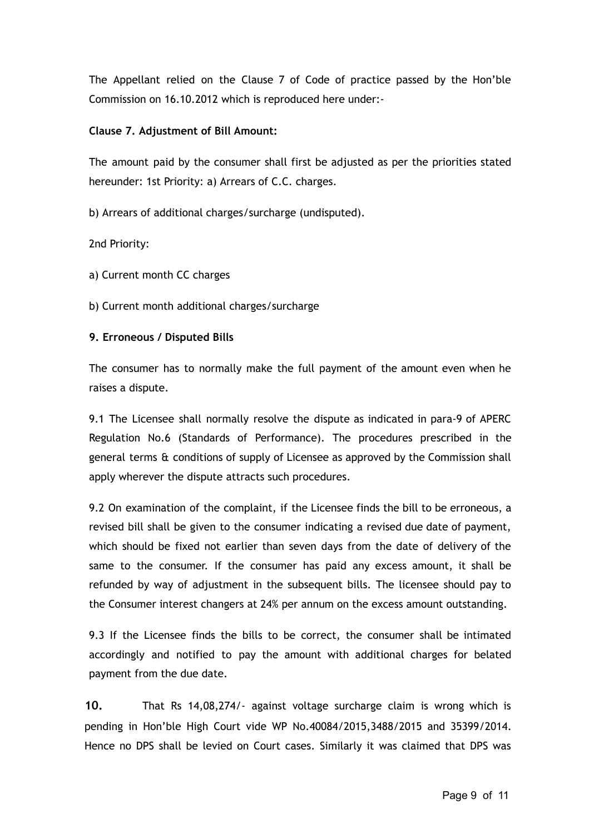The Appellant relied on the Clause 7 of Code of practice passed by the Hon'ble Commission on 16.10.2012 which is reproduced here under:-

## **Clause 7. Adjustment of Bill Amount:**

The amount paid by the consumer shall first be adjusted as per the priorities stated hereunder: 1st Priority: a) Arrears of C.C. charges.

b) Arrears of additional charges/surcharge (undisputed).

2nd Priority:

- a) Current month CC charges
- b) Current month additional charges/surcharge

## **9. Erroneous / Disputed Bills**

The consumer has to normally make the full payment of the amount even when he raises a dispute.

9.1 The Licensee shall normally resolve the dispute as indicated in para-9 of APERC Regulation No.6 (Standards of Performance). The procedures prescribed in the general terms & conditions of supply of Licensee as approved by the Commission shall apply wherever the dispute attracts such procedures.

9.2 On examination of the complaint, if the Licensee finds the bill to be erroneous, a revised bill shall be given to the consumer indicating a revised due date of payment, which should be fixed not earlier than seven days from the date of delivery of the same to the consumer. If the consumer has paid any excess amount, it shall be refunded by way of adjustment in the subsequent bills. The licensee should pay to the Consumer interest changers at 24% per annum on the excess amount outstanding.

9.3 If the Licensee finds the bills to be correct, the consumer shall be intimated accordingly and notified to pay the amount with additional charges for belated payment from the due date.

**10.** That Rs 14,08,274/- against voltage surcharge claim is wrong which is pending in Hon'ble High Court vide WP No.40084/2015,3488/2015 and 35399/2014. Hence no DPS shall be levied on Court cases. Similarly it was claimed that DPS was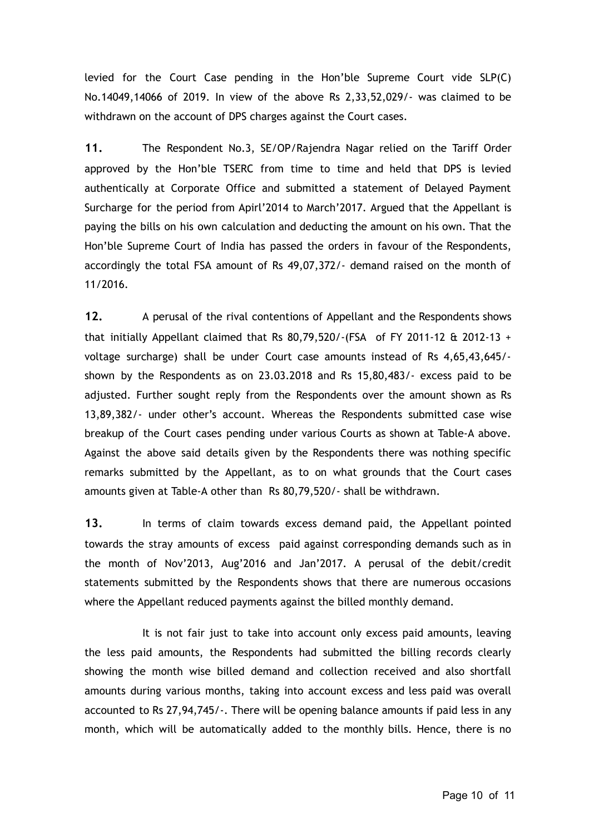levied for the Court Case pending in the Hon'ble Supreme Court vide SLP(C) No.14049,14066 of 2019. In view of the above Rs 2,33,52,029/- was claimed to be withdrawn on the account of DPS charges against the Court cases.

**11.** The Respondent No.3, SE/OP/Rajendra Nagar relied on the Tariff Order approved by the Hon'ble TSERC from time to time and held that DPS is levied authentically at Corporate Office and submitted a statement of Delayed Payment Surcharge for the period from Apirl'2014 to March'2017. Argued that the Appellant is paying the bills on his own calculation and deducting the amount on his own. That the Hon'ble Supreme Court of India has passed the orders in favour of the Respondents, accordingly the total FSA amount of Rs 49,07,372/- demand raised on the month of 11/2016.

**12.** A perusal of the rival contentions of Appellant and the Respondents shows that initially Appellant claimed that Rs 80,79,520/-(FSA of FY 2011-12 & 2012-13 + voltage surcharge) shall be under Court case amounts instead of Rs 4,65,43,645/ shown by the Respondents as on 23.03.2018 and Rs 15,80,483/- excess paid to be adjusted. Further sought reply from the Respondents over the amount shown as Rs 13,89,382/- under other's account. Whereas the Respondents submitted case wise breakup of the Court cases pending under various Courts as shown at Table-A above. Against the above said details given by the Respondents there was nothing specific remarks submitted by the Appellant, as to on what grounds that the Court cases amounts given at Table-A other than Rs 80,79,520/- shall be withdrawn.

**13.** In terms of claim towards excess demand paid, the Appellant pointed towards the stray amounts of excess paid against corresponding demands such as in the month of Nov'2013, Aug'2016 and Jan'2017. A perusal of the debit/credit statements submitted by the Respondents shows that there are numerous occasions where the Appellant reduced payments against the billed monthly demand.

It is not fair just to take into account only excess paid amounts, leaving the less paid amounts, the Respondents had submitted the billing records clearly showing the month wise billed demand and collection received and also shortfall amounts during various months, taking into account excess and less paid was overall accounted to Rs 27,94,745/-. There will be opening balance amounts if paid less in any month, which will be automatically added to the monthly bills. Hence, there is no